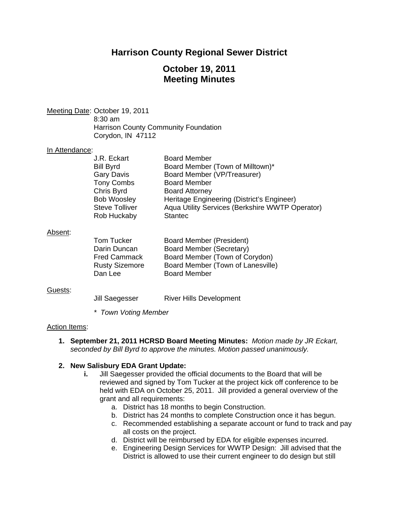## **Harrison County Regional Sewer District**

# **October 19, 2011 Meeting Minutes**

Meeting Date: October 19, 2011 8:30 am Harrison County Community Foundation Corydon, IN 47112

#### In Attendance:

| J.R. Eckart           | <b>Board Member</b>                             |
|-----------------------|-------------------------------------------------|
| <b>Bill Byrd</b>      | Board Member (Town of Milltown)*                |
| <b>Gary Davis</b>     | Board Member (VP/Treasurer)                     |
| <b>Tony Combs</b>     | <b>Board Member</b>                             |
| Chris Byrd            | <b>Board Attorney</b>                           |
| <b>Bob Woosley</b>    | Heritage Engineering (District's Engineer)      |
| <b>Steve Tolliver</b> | Aqua Utility Services (Berkshire WWTP Operator) |
| Rob Huckaby           | <b>Stantec</b>                                  |
|                       |                                                 |

#### Absent:

| Tom Tucker            | Board Member (President)          |
|-----------------------|-----------------------------------|
| Darin Duncan          | Board Member (Secretary)          |
| <b>Fred Cammack</b>   | Board Member (Town of Corydon)    |
| <b>Rusty Sizemore</b> | Board Member (Town of Lanesville) |
| Dan Lee               | <b>Board Member</b>               |

#### Guests:

Jill Saegesser River Hills Development

*\* Town Voting Member* 

#### Action Items:

**1. September 21, 2011 HCRSD Board Meeting Minutes:** *Motion made by JR Eckart, seconded by Bill Byrd to approve the minutes. Motion passed unanimously.* 

#### **2. New Salisbury EDA Grant Update:**

- **i.** Jill Saegesser provided the official documents to the Board that will be reviewed and signed by Tom Tucker at the project kick off conference to be held with EDA on October 25, 2011. Jill provided a general overview of the grant and all requirements:
	- a. District has 18 months to begin Construction.
	- b. District has 24 months to complete Construction once it has begun.
	- c. Recommended establishing a separate account or fund to track and pay all costs on the project.
	- d. District will be reimbursed by EDA for eligible expenses incurred.
	- e. Engineering Design Services for WWTP Design: Jill advised that the District is allowed to use their current engineer to do design but still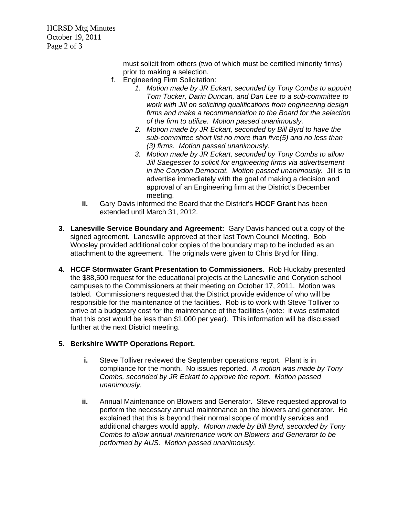HCRSD Mtg Minutes October 19, 2011 Page 2 of 3

> must solicit from others (two of which must be certified minority firms) prior to making a selection.

- f. Engineering Firm Solicitation:
	- *1. Motion made by JR Eckart, seconded by Tony Combs to appoint Tom Tucker, Darin Duncan, and Dan Lee to a sub-committee to work with Jill on soliciting qualifications from engineering design firms and make a recommendation to the Board for the selection of the firm to utilize. Motion passed unanimously.*
	- *2. Motion made by JR Eckart, seconded by Bill Byrd to have the sub-committee short list no more than five(5) and no less than (3) firms. Motion passed unanimously.*
	- *3. Motion made by JR Eckart, seconded by Tony Combs to allow Jill Saegesser to solicit for engineering firms via advertisement in the Corydon Democrat. Motion passed unanimously.* Jill is to advertise immediately with the goal of making a decision and approval of an Engineering firm at the District's December meeting.
- **ii.** Gary Davis informed the Board that the District's **HCCF Grant** has been extended until March 31, 2012.
- **3. Lanesville Service Boundary and Agreement:** Gary Davis handed out a copy of the signed agreement. Lanesville approved at their last Town Council Meeting. Bob Woosley provided additional color copies of the boundary map to be included as an attachment to the agreement. The originals were given to Chris Bryd for filing.
- **4. HCCF Stormwater Grant Presentation to Commissioners.** Rob Huckaby presented the \$88,500 request for the educational projects at the Lanesville and Corydon school campuses to the Commissioners at their meeting on October 17, 2011. Motion was tabled. Commissioners requested that the District provide evidence of who will be responsible for the maintenance of the facilities. Rob is to work with Steve Tolliver to arrive at a budgetary cost for the maintenance of the facilities (note: it was estimated that this cost would be less than \$1,000 per year). This information will be discussed further at the next District meeting.

### **5. Berkshire WWTP Operations Report.**

- **i.** Steve Tolliver reviewed the September operations report. Plant is in compliance for the month. No issues reported. *A motion was made by Tony Combs, seconded by JR Eckart to approve the report. Motion passed unanimously.*
- **ii.** Annual Maintenance on Blowers and Generator. Steve requested approval to perform the necessary annual maintenance on the blowers and generator. He explained that this is beyond their normal scope of monthly services and additional charges would apply. *Motion made by Bill Byrd, seconded by Tony Combs to allow annual maintenance work on Blowers and Generator to be performed by AUS. Motion passed unanimously.*